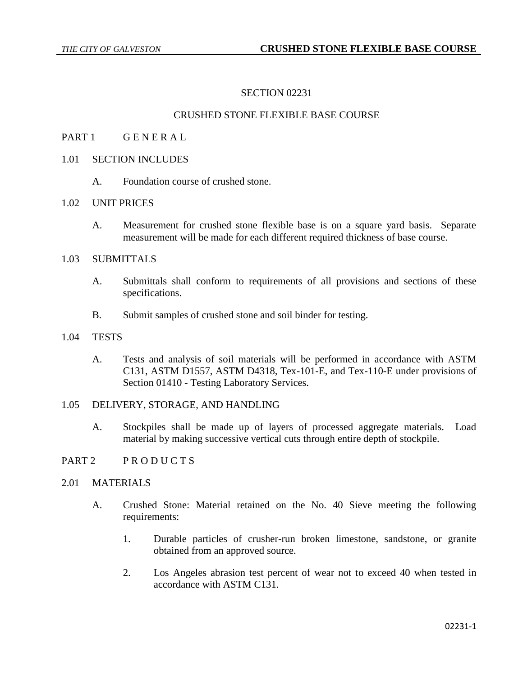# SECTION 02231

## CRUSHED STONE FLEXIBLE BASE COURSE

- PART 1 GENERAL
- 1.01 SECTION INCLUDES
	- A. Foundation course of crushed stone.

### 1.02 UNIT PRICES

A. Measurement for crushed stone flexible base is on a square yard basis. Separate measurement will be made for each different required thickness of base course.

## 1.03 SUBMITTALS

- A. Submittals shall conform to requirements of all provisions and sections of these specifications.
- B. Submit samples of crushed stone and soil binder for testing.

#### 1.04 TESTS

A. Tests and analysis of soil materials will be performed in accordance with ASTM C131, ASTM D1557, ASTM D4318, Tex-101-E, and Tex-110-E under provisions of Section 01410 - Testing Laboratory Services.

## 1.05 DELIVERY, STORAGE, AND HANDLING

A. Stockpiles shall be made up of layers of processed aggregate materials. Load material by making successive vertical cuts through entire depth of stockpile.

### PART 2 PRODUCTS

### 2.01 MATERIALS

- A. Crushed Stone: Material retained on the No. 40 Sieve meeting the following requirements:
	- 1. Durable particles of crusher-run broken limestone, sandstone, or granite obtained from an approved source.
	- 2. Los Angeles abrasion test percent of wear not to exceed 40 when tested in accordance with ASTM C131.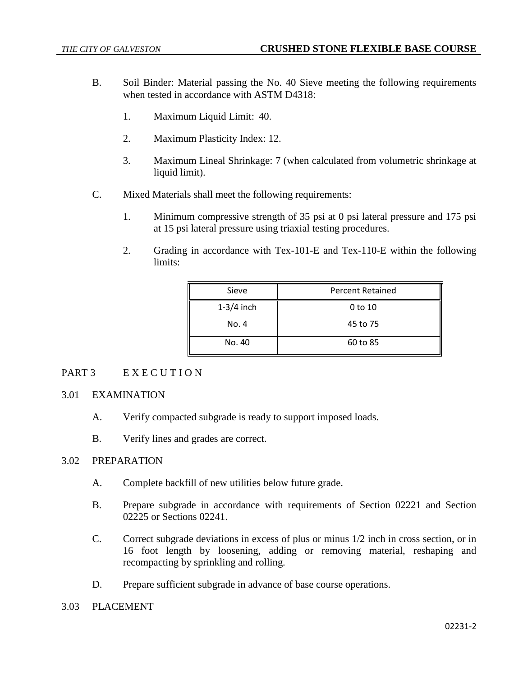- B. Soil Binder: Material passing the No. 40 Sieve meeting the following requirements when tested in accordance with ASTM D4318:
	- 1. Maximum Liquid Limit: 40.
	- 2. Maximum Plasticity Index: 12.
	- 3. Maximum Lineal Shrinkage: 7 (when calculated from volumetric shrinkage at liquid limit).
- C. Mixed Materials shall meet the following requirements:
	- 1. Minimum compressive strength of 35 psi at 0 psi lateral pressure and 175 psi at 15 psi lateral pressure using triaxial testing procedures.
	- 2. Grading in accordance with Tex-101-E and Tex-110-E within the following limits:

| Sieve        | <b>Percent Retained</b> |
|--------------|-------------------------|
| $1-3/4$ inch | 0 to 10                 |
| No. 4        | 45 to 75                |
| No. 40       | 60 to 85                |

# PART 3 EXECUTION

# 3.01 EXAMINATION

- A. Verify compacted subgrade is ready to support imposed loads.
- B. Verify lines and grades are correct.

## 3.02 PREPARATION

- A. Complete backfill of new utilities below future grade.
- B. Prepare subgrade in accordance with requirements of Section 02221 and Section 02225 or Sections 02241.
- C. Correct subgrade deviations in excess of plus or minus 1/2 inch in cross section, or in 16 foot length by loosening, adding or removing material, reshaping and recompacting by sprinkling and rolling.
- D. Prepare sufficient subgrade in advance of base course operations.

### 3.03 PLACEMENT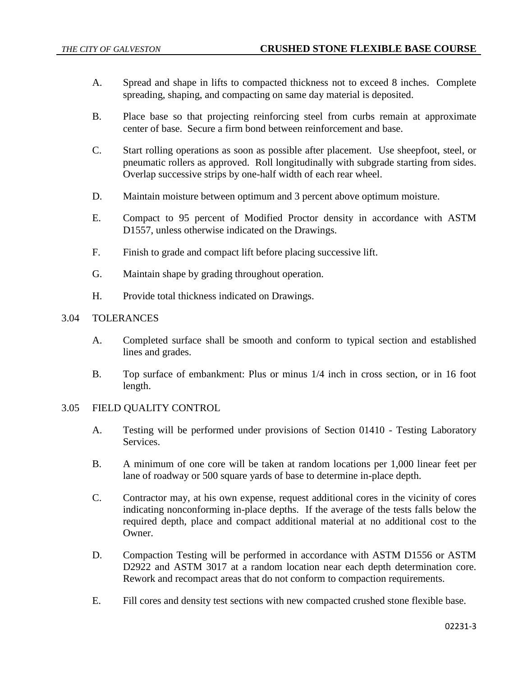- A. Spread and shape in lifts to compacted thickness not to exceed 8 inches. Complete spreading, shaping, and compacting on same day material is deposited.
- B. Place base so that projecting reinforcing steel from curbs remain at approximate center of base. Secure a firm bond between reinforcement and base.
- C. Start rolling operations as soon as possible after placement. Use sheepfoot, steel, or pneumatic rollers as approved. Roll longitudinally with subgrade starting from sides. Overlap successive strips by one-half width of each rear wheel.
- D. Maintain moisture between optimum and 3 percent above optimum moisture.
- E. Compact to 95 percent of Modified Proctor density in accordance with ASTM D1557, unless otherwise indicated on the Drawings.
- F. Finish to grade and compact lift before placing successive lift.
- G. Maintain shape by grading throughout operation.
- H. Provide total thickness indicated on Drawings.

### 3.04 TOLERANCES

- A. Completed surface shall be smooth and conform to typical section and established lines and grades.
- B. Top surface of embankment: Plus or minus 1/4 inch in cross section, or in 16 foot length.

### 3.05 FIELD QUALITY CONTROL

- A. Testing will be performed under provisions of Section 01410 Testing Laboratory Services.
- B. A minimum of one core will be taken at random locations per 1,000 linear feet per lane of roadway or 500 square yards of base to determine in-place depth.
- C. Contractor may, at his own expense, request additional cores in the vicinity of cores indicating nonconforming in-place depths. If the average of the tests falls below the required depth, place and compact additional material at no additional cost to the Owner.
- D. Compaction Testing will be performed in accordance with ASTM D1556 or ASTM D2922 and ASTM 3017 at a random location near each depth determination core. Rework and recompact areas that do not conform to compaction requirements.
- E. Fill cores and density test sections with new compacted crushed stone flexible base.